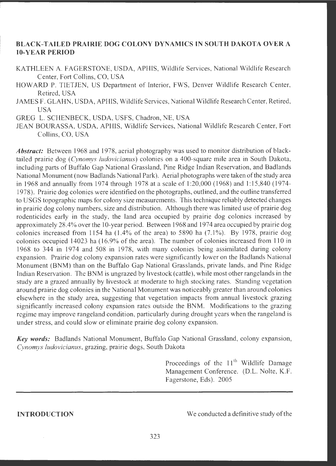# **BLACK-TAILED PRAIRIE DOG COLONY DYNAMICS IN SOUTH DAKOTA OVER A 10-YEAR PERIOD**

- KATHLEEN A. FAGERSTONE, USDA, APHIS, Wildlife Services, National Wildlife Research Center, Fort Collins, CO, USA
- HOWARD P. TIETJEN, US Department of Interior, FWS, Denver Wildlife Research Center, Retired, USA
- JAMES F. GLAHN, USDA, APHIS, Wildlife Services, National Wildlife Research Center, Retired, **USA**
- GREG L. SCHENBECK, USDA, USFS, Chadron, NE, USA
- JEAN BOURASSA, USDA, APHIS, Wildlife Services, National Wildlife Research Center, Fort Collins, CO, USA

*Abstract:* Between 1968 and 1978, aerial photography was used to monitor distribution of blacktailed prairie dog *(Cynomys ludovicianus)* colonies on a 400-square mile area in South Dakota, including parts of Buffalo Gap National Grassland, Pine Ridge Indian Reservation, and Badlands National Monument (now Badlands National Park). Aerial photographs were taken of the study area in 1968 and annually from 1974 through 1978 at a scale of 1 :20,000 (1968) and I: 15,840 (1974- 1978). Prairie dog colonies were identified on the photographs , outlined , and the outline transferred to USGS topographic maps for colony size measurements . This technique reliably detected changes in prairie dog colony numbers, size and distribution. Although there was limited use of prairie dog rodenticides early in the study, the land area occupied by prairie dog colonies increased by approximately 28.4% over the 10-year period. Between 1968 and 1974 area occupied by prairie dog colonies increased from 1154 ha (1.4% of the area) to 5890 ha (7.1%). By 1978, prairie dog colonies occupied I 4023 ha (16.9% of the area). The number of colonies increased from 110 in 1968 to 344 in 1974 and 508 in 1978, with many colonies being assimilated during colony expansion. Prairie dog colony expansion rates were significantly lower on the Badlands National Monument (BNM) than on the Buffalo Gap National Grasslands, private lands, and Pine Ridge Indian Reservation. The BNM is ungrazed by livestock (cattle), while most other rangelands in the study are a grazed annually by livestock at moderate to high stocking rates. Standing vegetation around prairie dog colonies in the National Monument was noticeably greater than around colonies elsewhere in the study area, suggesting that vegetation impacts from annual livestock grazing significantly increased colony expansion rates outside the BNM. Modifications to the grazing regime may improve rangeland condition, particularly during drought years when the rangeland is under stress, and could slow or eliminate prairie dog colony expansion.

Key words: Badlands National Monument, Buffalo Gap National Grassland, colony expansion, *Cynomys ludovicianus*, grazing, prairie dogs, South Dakota

> Proceedings of the **11th** Wildlife Damage Management Conference. (D.L. Nolte, K.F. Fagerstone, Eds). 2005

**INTRODUCTION** 

We conducted a definitive study of the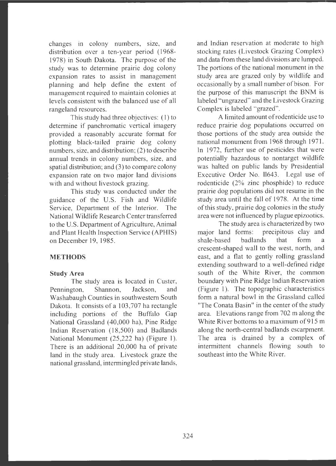changes in colony numbers, size, and distribution over a ten-year period (1968- 1978) in South Dakota. The purpose of the study was to determine prairie dog colony expansion rates to assist in management <sup>p</sup>lanning and help define the extent of management required to maintain colonies at levels consistent with the balanced use of all rangeland resources.

This study had three objectives: (1) to determine if panchromatic vertical imagery provided a reasonably accurate format for <sup>p</sup>lotting black-tailed prairie dog colony numbers, size, and distribution;  $(2)$  to describe annual trends in colony numbers, size, and spatial distribution; and (3) to compare colony expansion rate on two major land divisions with and without livestock grazing.

This study was conducted under the guidance of the U.S . Fish and Wildlife Service. Department of the Interior. The National Wildlife Research Center transferred to the U.S. Department of Agriculture, Animal and Plant Health Inspection Service (APHIS) on December 19, 1985.

#### **METHODS**

#### **Study Area**

The study area is located in Custer, Pennington, Shannon, Jackson, and Washabaugh Counties in southwestern South Dakota. It consists of a 103,707 ha rectangle including portions of the Buffalo Gap National Grassland (40,000 ha), Pine Ridge Indian Reservation (18 ,500) and Badlands National Monument (25,222 ha) (Figure 1). There is an additional 20,000 ha of private land in the study area. Livestock graze the national grassland, intermingled private lands,

and Indian reservation at moderate to high stocking rates (Livestock Grazing Complex) and data from these land divisions are lumped. The portions of the national monument in the study area are grazed only by wildlife and occasionally by a small number of bison . For the purpose of this manuscript the BNM is labeled "ungrazed" and the Livestock Grazing Complex is labeled "grazed".

A limited amount ofrodenticide use to reduce prairie dog populations occurred on those portions of the study area outside the national monument from 1968 through 1971. In 1972, further use of pesticides that were potentially hazardous to nontarget wildlife was halted on public lands by Presidential Executive Order No. 11643. Legal use of rodenticide (2% zinc phosphide) to reduce prairie dog populations did not resume in the study area until the fall of 1978. At the time of this study , prairie dog colonies in the study area were not influenced by plague epizootics.

The study area is characterized by two major land forms: precipitous clay and shale-based badlands that form a crescent-shaped wall to the west, north, and east, and a flat to gently rolling grassland extending southward to a well-defined ridge south of the White River, the common boundary with Pine Ridge Indian Reservation (Figure 1). The topographic characteristics form a natural bowl in the Grassland called "The Conata Basin" in the center of the study area. Elevations range from 702 m along the White River bottoms to a maximum of 915 m along the north -central badlands escarpment. The area is drained by a complex of intermittent channels flowing south to southeast into the White River.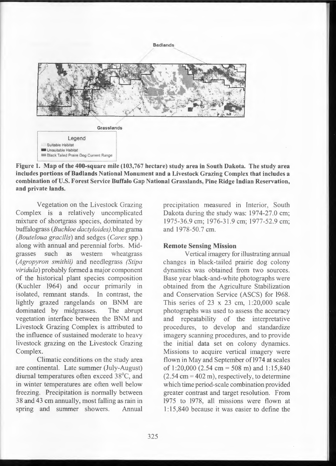**Badlands** 



**Figure 1. Map of the 400-square mile (103,767 hectare) study area in South Dakota. The study area includes portions of Badlands National Monument and a Livestock Grazing Complex that includes a combination of U.S. Forest Service Buffalo Gap National Grasslands, Pine Ridge Indian Reservation, and private lands.** 

Vegetation on the Livestock Grazing Complex is a relatively uncomplicated mixture of shortgrass species, dominated by buffalograss *(Buchloe dactyloides)*, blue grama *(Bouteloua gracilis)* and sedges *(Carex* spp.) along with annual and perennial forbs. Midgrasses such as western wheatgrass *(Agropyron smithii)* and needlegrass *(Stipa viridula)* probably formed a major component of the historical plant species composition (Kuchler 1964) and occur primarily in isolated, remnant stands. In contrast, the lightly grazed rangelands on BNM are dominated by midgrasses. The abrupt vegetation interface between the BNM and Livestock Grazing Complex is attributed to the influence of sustained moderate to heavy livestock grazing on the Livestock Grazing Complex.

Climatic conditions on the study area are continental. Late summer (July-August) diurnal temperatures often exceed 38°C, and in winter temperatures are often well below freezing. Precipitation is normally between 38 and 43 cm annually, most falling as rain in spring and summer showers. Annual

precipitation measured in Interior, South Dakota during the study was: 1974-27.0 cm; 1975-36 .9 cm; 1976-31.9 cm; 1977-52.9 cm; and 1978-50.7 cm.

#### **Remote Sensing Mission**

Vertical imagery for illustrating annual changes in black-tailed prairie dog colony dynamics was obtained from two sources. Base year black-and-white photographs were obtained from the Agriculture Stabilization and Conservation Service (ASCS) for 1968. This series of  $23 \times 23$  cm,  $1:20,000$  scale photographs was used to assess the accuracy and repeatability of the interpretative procedures, to develop and standardize imagery scanning procedures, and to provide the initial data set on colony dynamics. Missions to acquire vertical imagery were flown in May and September of 1974 at scales of 1:20,000 (2.54 cm = 508 m) and 1:15,840  $(2.54 \text{ cm} = 402 \text{ m})$ , respectively, to determine which time period-scale combination provided greater contrast and target resolution. From 1975 to 1978, all missions were flown at 1: 15,840 because it was easier to define the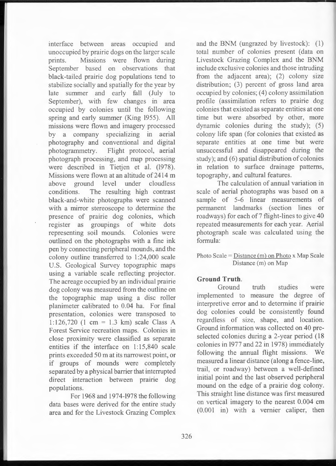interface between areas occupied and unoccupied by prairie dogs on the larger scale prints. Missions were flown during September based on observations that black-tailed prairie dog populations tend to stabilize socially and spatially for the year by late summer and early fall (July to September), with few changes in area occupied by colonies until the following spring and early summer (King 1955). All missions were flown and imagery processed by a company specializing in aerial photography and conventional and digital photogrammetry. Flight protocol, aerial photograph processing , and map processing were described in Tietien et al. (1978). Missions were flown at an altitude of 2414 m above ground level under cloudless conditions. The resulting high contrast black-and-white photographs were scanned with a mirror stereoscope to determine the presence of prairie dog colonies, which register as groupings of white dots representing soil mounds. Colonies were outlined on the photographs with a fine ink pen by connecting peripheral mounds , and the colony outline transferred to 1:24,000 scale U.S. Geological Survey topographic maps using a variable scale reflecting projector. The acreage occupied by an individual prairie dog colony was measured from the outline on the topographic map using a disc roller planimeter calibrated to 0.04 ha. For final presentation, colonies were transposed to 1:126,720 (1 cm = 1.3 km) scale Class A Forest Service recreation maps. Colonies in close proximity were classified as separate entities if the interface on 1:15,840 scale prints exceeded 50 mat its narrowest point, or if groups of mounds were completely separated by a physical barrier that interrupted direct interaction between prairie dog populations.

For 1968 and 1974-1978 the following data bases were derived for the entire study area and for the Livestock Grazing Complex and the BNM (ungrazed by livestock):  $(1)$ total number of colonies present (data on Livestock Grazing Complex and the BNM include exclusive colonies and those intruding from the adjacent area); (2) colony size distribution; (3) percent of gross land area occupied by colonies; (4) colony assimilation profile (assimilation refers to prairie dog colonies that existed as separate entities at one time but were absorbed by other, more dynamic colonies during the study); (5) colony life span (for colonies that existed as separate entities at one time but were unsuccessful and disappeared during the study); and (6) spatial distribution of colonies in relation to surface drainage patterns, topography, and cultural features.

The calculation of annual variation in scale of aerial photographs was based on a sample of 5-6 linear measurements of permanent landmarks (section lines or roadways) for each of 7 flight-lines to give 40 repeated measurements for each year. Aerial photograph scale was calculated using the formula:

Photo Scale =  $Distance(m)$  on Photo x Map Scale Distance (m) on Map

#### **Ground Truth.**

Ground truth studies were implemented to measure the degree of interpretive error and to determine if prairie dog colonies could be consistently found regardless of size, shape, and location. Ground information was collected on 40 preselected colonies during a 2-year period (18) colonies in 1977 and 22 in 1978) immediately following the annual flight missions. We measured a linear distance (along a fence-line, trail, or roadway) between a well-defined initial point and the last observed peripheral mound on the edge of a prairie dog colony. This straight line distance was first measured on vertical imagery to the nearest 0.004 cm  $(0.001$  in) with a vernier caliper, then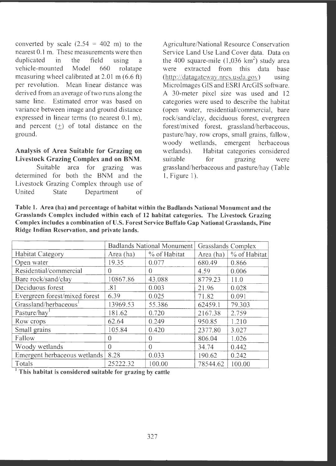converted by scale  $(2.54 = 402 \text{ m})$  to the nearest 0. I m. These measurements were then duplicated in the field using a vehicle-mounted Model 660 rolatape measuring wheel calibrated at 2.01 m (6.6 ft) per revolution. Mean linear distance was derived from an average of two runs along the same line. Estimated error was based on variance between image and ground distance expressed in linear terms (to nearest 0.1 m), and percent  $(+)$  of total distance on the ground.

## **Analysis of Area Suitable for Grazing on Livestock Grazing Complex and on BNM .**

Suitable area for grazing was determined for both the BNM and the Livestock Grazing Complex through use of United State Department of Agriculture/National Resource Conservation Service Land Use Land Cover data . Data on the 400 square-mile  $(1,036 \text{ km}^2)$  study area were extracted from this data base  $(htt)$  //datagateway.nrcs.us da.gov) using Microlmages GIS and ESRI ArcGIS software. A 30-meter pixel size was used and 12 categories were used to describe the habitat (open water, residential/commercial, bare rock/sand/clay, deciduous forest, evergreen forest/mixed forest, grassland/herbaceous, pasture/hay, row crops, small grains, fallow, woody wetlands, emergent herbaceous wetlands). Habitat categories considered suitable for grazing were grassland /herbaceous and pasture /hay (Table 1, Figure 1).

**Table 1. Area (ha) and percentage of habitat within the Badlands National Monument and the Grasslands Complex included within each of 12 habitat categories. The Livestock Grazing Complex includes a combination of U.S. Forest Service Buffalo Gap National Grasslands, Pine Ridge Indian Reservation, and private lands.** 

|                                   |           | Badlands National Monument | Grasslands Complex |              |  |
|-----------------------------------|-----------|----------------------------|--------------------|--------------|--|
| <b>Habitat Category</b>           | Area (ha) | % of Habitat               | Area (ha)          | % of Habitat |  |
| Open water                        | 19.35     | 0.077                      | 680.49             | 0.866        |  |
| Residential/commercial            | $\theta$  | $\Omega$                   | 4.59               | 0.006        |  |
| Bare rock/sand/clay               | 10867.86  | 43.088                     | 8779.23            | 11.0         |  |
| Deciduous forest                  | .81       | 0.003                      | 21.96              | 0.028        |  |
| Evergreen forest/mixed forest     | 6.39      | 0.025                      | 71.82              | 0.091        |  |
| Grassland/herbaceous <sup>1</sup> | 13969.53  | 55.386                     | 62459.1            | 79.303       |  |
| Pasture/hay                       | 181.62    | 0.720                      | 2167.38            | 2.759        |  |
| Row crops                         | 62.64     | 0.249                      | 950.85             | 1.210        |  |
| Small grains                      | 105.84    | 0.420                      | 2377.80            | 3.027        |  |
| Fallow                            | 0         | $\Omega$                   | 806.04             | 1.026        |  |
| Woody wetlands                    | $\Omega$  | $\theta$                   | 34.74              | 0.442        |  |
| Emergent herbaceous wetlands      | 8.28      | 0.033                      | 190.62             | 0.242        |  |
| Totals                            | 25222.32  | 100.00                     | 78544.62           | 100.00       |  |

<sup>1</sup>**This habitat is considered suitable for grazing by cattle**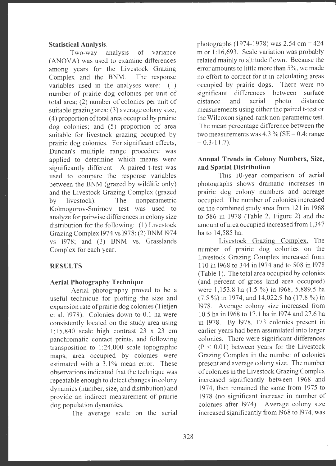#### **Statistical Analysis.**

Two-way analysis of variance (ANOVA) was used to examine differences among years for the Livestock Grazing Complex and the BNM. The response variables used in the analyses were: (1) number of prairie dog colonies per unit of total area; (2) number of colonies per unit of suitable grazing area; (3) average colony size; ( 4) proportion of total area occupied by prairie dog colonies; and (5) proportion of area suitable for livestock grazing occupied by prairie dog colonies. For significant effects, Duncan's multiple range procedure was applied to determine which means were significantly different. A paired t-test was used to compare the response variables between the BNM (grazed by wildlife only) and the Livestock Grazing Complex (grazed by livestock). The nonparametric Kolmogorov-Smirnov test was used to analyze for pairwise differences in colony size distribution for the following: (1) Livestock Grazing Complex 1974 vs 1978; (2) BNM 1974 vs 1978; and (3) BNM vs. Grasslands Complex for each year.

### **RESULTS**

### **Aerial Photography Technique**

Aerial photography proved to be a useful technique for plotting the size and expansion rate of prairie dog colonies (Tietjen et al. 1978). Colonies down to 0.1 ha were consistently located on the study area using 1: 15,840 scale high contrast 23 x 23 cm panchromatic contact prints, and following transposition to 1:24,000 scale topographic maps, area occupied by colonies were estimated with a 3.1% mean error. These observations indicated that the technique was repeatable enough to detect changes in colony dynamics (number, size, and distribution) and provide an indirect measurement of prairie dog population dynamics.

The average scale on the aerial

photographs (1974-1978) was  $2.54 \text{ cm} = 424$ m or 1:16,693. Scale variation was probably related mainly to altitude flown. Because the error amounts to little more than 5%, we made no effort to correct for it in calculating areas occupied by prairie dogs. There were no significant differences between surface distance and aerial photo distance measurements using either the paired t-test or the Wilcoxon signed-rank non-parametric test. The mean percentage difference between the two measurements was  $4.3\%$  (SE = 0.4; range  $= 0.3 - 11.7$ .

### **Annual Trends in Colony Numbers, Size, and Spatial Distribution**

This 10-year comparison of aerial <sup>p</sup>hotographs shows dramatic increases in prairie dog colony numbers and acreage occupied. The number of colonies increased on the combined study area from 121 in 1968 to 586 in 1978 (Table 2, Figure 2) and the amount of area occupied increased from 1,347 ha to 14,585 ha.

Livestock Grazing Complex. The number of prairie dog colonies on the Livestock Grazing Complex increased from 110 in 1968 to 344 in 1974 and to 508 in 1978 (Table 1). The total area occupied by colonies (and percent of gross land area occupied) were 1,153.8 ha (1.5 %) in 1968, 5,889.5 ha (7.5 %) in 1974, and 14,022.9 ha (17.8 %) in 1978. Average colony size increased from 10.5 ha in 1968 to 17.1 ha in 1974 and 27.6 ha in 1978. By 1978, 173 colonies present in earlier years had been assimilated into larger colonies. There were significant differences  $(P < 0.01)$  between years for the Livestock Grazing Complex in the number of colonies present and average colony size. The number of colonies in the Livestock Grazing Complex increased significantly between 1968 and 1974, then remained the same from 1975 to 1978 (no significant increase in number of colonies after 1974). Average colony size increased significantly from 1968 to 1974, was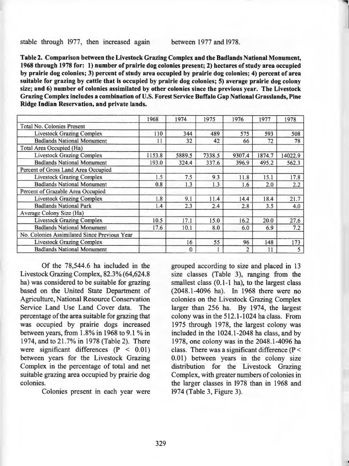stable through 1977, then increased agam between 1977 and 1978.

**Table** *2.* **Comparison between the Livestock Grazing Complex and the Badlands National Monument, 1968 through 1978 for: 1) number of prairie dog colonies present; 2) hectares of study area occupied by prairie dog colonies; 3) percent of study area occupied by prairie dog colonies; 4) percent of area suitable for grazing by cattle that is occupied by prairie dog colonies; 5) average prairie dog colony size; and 6) number of colonies assimilated by other colonies since the previous year. The Livestock Grazing Complex includes a combination of U.S. Forest Service Buffalo Gap National Grasslands, Pine Ridge Indian Reservation, and private lands.** 

|                                              | 1968   | 1974     | 1975   | 1976   | 1977   | 1978    |
|----------------------------------------------|--------|----------|--------|--------|--------|---------|
| <b>Total No. Colonies Present</b>            |        |          |        |        |        |         |
| <b>Livestock Grazing Complex</b>             | 110    | 344      | 489    | 575    | 593    | 508     |
| <b>Badlands National Monument</b>            | 11     | 32       | 42     | 66     | 72     | 78      |
| Total Area Occupied (Ha)                     |        |          |        |        |        |         |
| <b>Livestock Grazing Complex</b>             | 1153.8 | 5889.5   | 7338.5 | 9307.4 | 1874.7 | 14022.9 |
| <b>Badlands National Monument</b>            | 193.0  | 324.4    | 337.6  | 396.9  | 495.2  | 562.3   |
| Percent of Gross Land Area Occupied          |        |          |        |        |        |         |
| <b>Livestock Grazing Complex</b>             | 1.5    | 7.5      | 9.3    | 11.8   | 15.1   | 17.8    |
| <b>Badlands National Monument</b>            | 0.8    | 1.3      | 1.3    | 1.6    | 2.0    | 2.2     |
| Percent of Grazable Area Occupied            |        |          |        |        |        |         |
| <b>Livestock Grazing Complex</b>             | 1.8    | 9.1      | 11.4   | 14.4   | 18.4   | 21.7    |
| <b>Badlands National Park</b>                | 1.4    | 2.3      | 2.4    | 2.8    | 3.5    | 4.0     |
| Average Colony Size (Ha)                     |        |          |        |        |        |         |
| <b>Livestock Grazing Complex</b>             | 10.5   | 17.1     | 15.0   | 16.2   | 20.0   | 27.6    |
| <b>Badlands National Monument</b>            | 17.6   | 10.1     | 8.0    | 6.0    | 6.9    | 7.2     |
| No. Colonies Assimilated Since Previous Year |        |          |        |        |        |         |
| <b>Livestock Grazing Complex</b>             |        | 16       | 55     | 96     | 148    | 173     |
| <b>Badlands National Monument</b>            |        | $\bf{0}$ |        | 2      | 11     | 5       |

Of the 78,544.6 ha included in the Livestock Grazing Complex, 82.3% (64,624.8 ha) was considered to be suitable for grazing based on the United State Department of Agriculture, National Resource Conservation Service Land Use Land Cover data. The percentage of the area suitable for grazing that was occupied by prairie dogs increased between years, from  $1.8\%$  in 1968 to 9.1 % in 1974, and to 21.7% in 1978 (Table 2). There were significant differences (P < 0.01) between years for the Livestock Grazing Complex in the percentage of total and net suitable grazing area occupied by prairie dog colonies.

Colonies present in each year were

grouped according to size and placed in 13 size classes (Table 3), ranging from the smallest class (0.1-1 ha), to the largest class (2048 .1-4096 ha). In 1968 there were no colonies on the Livestock Grazing Complex larger than 256 ha. By 1974, the largest colony was in the 512.1-1024 ha class. From 1975 through 1978, the largest colony was included in the 1024.1-2048 ha class, and by 1978, one colony was in the 2048.1-4096 ha class. There was a significant difference ( $P \le$ 0.01) between years in the colony size distribution for the Livestock Grazing Complex, with greater numbers of colonies in the larger classes in 1978 than in 1968 and 1974 (Table 3, Figure 3).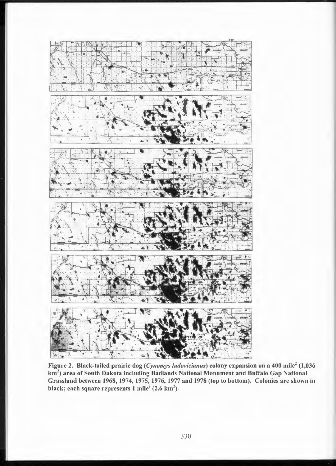

Figure 2. Black-tailed prairie dog *(Cynomys ludovicianus)* colony expansion on a 400 mile<sup>2</sup> (1,036 km $^2$ ) area of South Dakota including Badlands National Monument and Buffalo Gap National Grassland between 1968, 1974, 1975, 1976, 1977 and 1978 (top to bottom). Colonies are shown in black; each square represents 1 mile<sup>2</sup> (2.6 km<sup>2</sup>).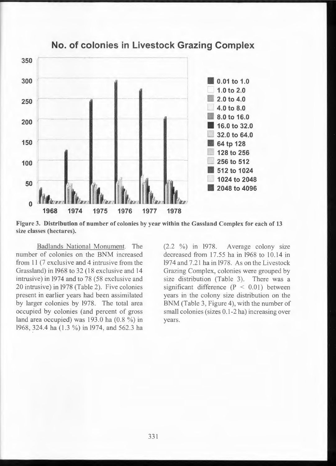

**No. of colonies in Livestock Grazing Complex** 

**Figure 3. Distribution of number of colonies by year within the Gassland Complex for each of 13 size classes (hectares).** 

Badlands National Monument. The number of colonies on the BNM increased from 11 (7 exclusive and 4 intrusive from the Grassland) in 1968 to 32 (18 exclusive and 14 intrusive) in 1974 and to 78 (58 exclusive and 20 intrusive) in 1978 (Table 2). Five colonies present in earlier years had been assimilated by larger colonies by 1978. The total area occupied by colonies (and percent of gross land area occupied) was 193.0 ha (0.8 %) in 1968, 324.4 ha (1.3 %) in 1974, and 562.3 ha

(2.2 %) in 1978. Average colony size decreased from  $17.55$  ha in  $1968$  to  $10.14$  in 1974 and 7.21 ha in 1978. As on the Livestock Grazing Complex, colonies were grouped by size distribution (Table 3). There was a significant difference  $(P < 0.01)$  between years in the colony size distribution on the BNM (Table 3, Figure 4), with the number of small colonies (sizes 0.1-2 ha) increasing over years.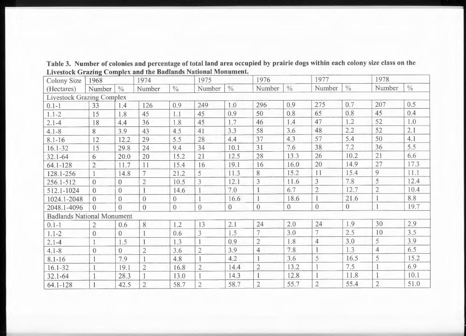| <b>Colony Size</b>                | 1968           |                | 1974           |                | 1975           |               | 1976           |                |                | 1977           |                | 1978          |  |
|-----------------------------------|----------------|----------------|----------------|----------------|----------------|---------------|----------------|----------------|----------------|----------------|----------------|---------------|--|
| (Hectares)                        | Number         | $\frac{0}{0}$  | Number         | $\frac{0}{0}$  | Number         | $\frac{0}{0}$ | Number         | $\frac{0}{0}$  | Number         | $\frac{0}{0}$  | Number         | $\frac{0}{0}$ |  |
| <b>Livestock Grazing Complex</b>  |                |                |                |                |                |               |                |                |                |                |                |               |  |
| $0.1 - 1$                         | 33             | 1.4            | 126            | 0.9            | 249            | 1.0           | 296            | 0.9            | 275            | 0.7            | 207            | 0.5           |  |
| $1.1 - 2$                         | 15             | 1.8            | 45             | 1.1            | 45             | 0.9           | 50             | 0.8            | 65             | 0.8            | 45             | 0.4           |  |
| $2.1 - 4$                         | 18             | 4.4            | 36             | 1.8            | 45             | 1.7           | 46             | 1.4            | 47             | 1.2            | 52             | 1.0           |  |
| $4.1 - 8$                         | 8              | 3.9            | 43             | 4.5            | 41             | 3.3           | 58             | 3.6            | 48             | 2.2            | 52             | 2.1           |  |
| $8.1 - 16$                        | 12             | 12.2           | 29             | 5.5            | 28             | 4.4           | 37             | 4.3            | 57             | 5.4            | 50             | 4.1           |  |
| $16.1 - 32$                       | 15             | 29.8           | 24             | 9.4            | 34             | 10.1          | 31             | 7.6            | 38             | 7.2            | 36             | 5.5           |  |
| $32.1 - 64$                       | 6              | 20.0           | 20             | 15.2           | 21             | 12.5          | 28             | 13.3           | 26             | 10.2           | 21             | 6.6           |  |
| 64.1-128                          | $\overline{2}$ | 11.7           | 11             | 15.4           | 16             | 19.1          | 16             | 16.0           | 20             | 14.9           | 27             | 17.3          |  |
| 128.1-256                         |                | 14.8           |                | 21.2           | 5              | 11.3          | 8              | 15.2           | 11             | 15.4           | 9              | 11.1          |  |
| 256.1-512                         | $\Omega$       | $\overline{0}$ | $\overline{2}$ | 10.5           | 3              | 12.1          | 3              | 11.6           | 3              | 7.8            | 5              | 12.4          |  |
| 512.1-1024                        | $\overline{0}$ | $\theta$       |                | 14.6           |                | 7.0           |                | 6.7            | $\overline{2}$ | 12.7           | $\overline{2}$ | 10.4          |  |
| 1024.1-2048                       | $\overline{0}$ | $\overline{0}$ | $\overline{0}$ | $\overline{0}$ |                | 16.6          |                | 18.6           |                | 21.6           | $\mathbf{1}$   | 8.8           |  |
| 2048.1-4096                       | $\Omega$       | $\theta$       | $\theta$       | $\mathbf{0}$   | $\overline{0}$ | $\Omega$      | $\theta$       | $\overline{0}$ | $\overline{0}$ | $\overline{0}$ | $\mathbf{1}$   | 19.7          |  |
| <b>Badlands National Monument</b> |                |                |                |                |                |               |                |                |                |                |                |               |  |
| $0.1 - 1$                         | $\overline{2}$ | 0.6            | 8              | 1.2            | 13             | 2.1           | 24             | 2.0            | 24             | 1.9            | 30             | 2.9           |  |
| $1.1 - 2$                         | $\overline{0}$ | $\overline{0}$ |                | 0.6            | 3              | 1.5           |                | 3.0            |                | 2.5            | 10             | 3.5           |  |
| $2.1 - 4$                         |                | 1.5            |                | 1.3            |                | 0.9           | $\overline{2}$ | 1.8            | $\overline{4}$ | 3.0            | 5              | 3.9           |  |
| $4.1 - 8$                         | $\overline{0}$ | $\overline{0}$ | $\overline{2}$ | 3.6            | $\overline{2}$ | 3.9           | $\overline{4}$ | 7.8            |                | 1.3            | $\overline{4}$ | 6.5           |  |
| $8.1 - 16$                        |                | 7.9            |                | 4.8            |                | 4.2           |                | 3.6            | 5              | 16.5           | 5              | 15.2          |  |
| $16.1 - 32$                       |                | 19.1           | $\overline{2}$ | 16.8           | $\overline{2}$ | 14.4          | $\overline{2}$ | 13.2           |                | 7.5            |                | 6.9           |  |
| $32.1 - 64$                       |                | 28.3           |                | 13.0           |                | 14.3          |                | 12.8           |                | 11.8           |                | 10.1          |  |
| $64.1 - 128$                      |                | 42.5           | $\overline{2}$ | 58.7           | $\overline{2}$ | 58.7          | $\overline{2}$ | 55.7           | $\overline{2}$ | 55.4           | $\overline{2}$ | 51.0          |  |

**Table 3. Number of colonies and percentage of total land area occupied by prairie dogs within each colony size class on the**  Livestock Grazing Complex and the Badlands National Monument.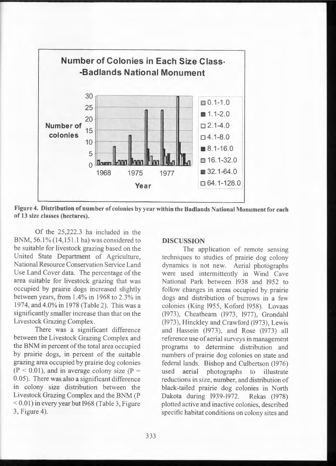

**Figure 4. Distribution of number of colonies by year within the Badlands National Monument for each of 13 size classes (hectares).** 

Of the 25,222.3 ha included in the BNM, 56.1% (14,151.1 ha) was considered to be suitable for livestock grazing based on the United State Department of Agriculture, National Resource Conservation Service Land Use Land Cover data. The percentage of the area suitable for livestock grazing that was occupied by prairie dogs increased slightly between years, from 1.4% in 1968 to 2.3% in 1974, and 4.0% in 1978 (Table 2). This was a significantly smaller increase than that on the Livestock Grazing Complex.

There was a significant difference between the Livestock Grazing Complex and the BNM in percent of the total area occupied by prairie dogs, in percent of the suitable grazing area occupied by prairie dog colonies  $(P < 0.01)$ , and in average colony size  $(P =$ 0.05). There was also a significant difference in colony size distribution between the Livestock Grazing Complex and the BNM (P  $< 0.01$ ) in every year but 1968 (Table 3, Figure 3, Figure 4).

#### **DISCUSSION**

The application of remote sensing techniques to studies of prairie dog colony dynamics is not new. Aerial photographs were used intermittently in Wind Cave National Park between 1938 and 1952 to follow changes in areas occupied by prairie dogs and distribution of burrows in a few colonies (King 1955, Koford 1958). Lovaas (1973), Cheatheam (1973, 1977), Grondahl (1973), Hinckley and Crawford (1973), Lewis and Hassein (1973), and Rose (1973) all reference use of aerial surveys in management programs to determine distribution and numbers of prairie dog colonies on state and federal lands. Bishop and Culbertson (1976)<br>used aerial photographs to illustrate aerial photographs to illustrate reductions in size, number, and distribution of black-tailed prairie dog colonies in North Dakota during 1939-1972. Rekas (1978) plotted active and inactive colonies, described specific habitat conditions on colony sites and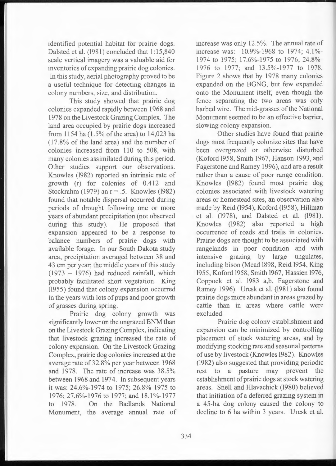identified potential habitat for prairie dogs. Dalsted et al. (1981) concluded that 1: 15,840 scale vertical imagery was a valuable aid for inventories of expanding prairie dog colonies. In this study, aerial photography proved to be a useful technique for detecting changes in colony numbers, size, and distribution.

This study showed that prairie dog colonies expanded rapidly between 1968 and 1978 on the Livestock Grazing Complex. The land area occupied by prairie dogs increased from 1154 ha (1.5% of the area) to 14,023 ha (17.8% of the land area) and the number of colonies increased from 110 to 508, with many colonies assimilated during this period. Other studies support our observations. Knowles (1982) reported an intrinsic rate of growth (r) for colonies of 0.412 and Stockrahm (1979) an r = .5. Knowles (1982) found that notable dispersal occurred during periods of drought following one or more years of abundant precipitation (not observed during this study). He proposed that expansion appeared to be a response to balance numbers of prairie dogs with available forage. In our South Dakota study area, precipitation averaged between 38 and 43 cm per year; the middle years of this study  $(1973 - 1976)$  had reduced rainfall, which probably facilitated short vegetation. King (1955) found that colony expansion occurred in the years with lots of pups and poor growth of grasses during spring.

Prairie dog colony growth was significantly lower on the ungrazed BNM than on the Livestock Grazing Complex, indicating that livestock grazing increased the rate of colony expansion. On the Livestock Grazing Complex, prairie dog colonies increased at the average rate of 32.8% per year between 1968 and 1978. The rate of increase was 38.5% between 1968 and 1974. In subsequent years it was: 24.6%-1974 to 1975; 26.8%-1975 to 1976; 27.6%-1976 to 1977; and 18.1%-1977 to 1978. On the Badlands National Monument, the average annual rate of increase was only 12.5%. The annual rate of increase was: 10.9%-1968 to 1974; 4.1%-1974 to 1975; 17.6%-1975 to 1976; 24.8%- 1976 to 1977; and 13.5%-1977 to 1978. Figure 2 shows that by 1978 many colonies expanded on the BGNG, but few expanded onto the Monument itself, even though the fence separating the two areas was only barbed wire. The mid-grasses of the National Monument seemed to be an effective barrier, slowing colony expansion.

Other studies have found that prairie dogs most frequently colonize sites that have been overgrazed or otherwise disturbed (Koford 1958, Smith 1967, Hanson 1993, and Fagerstone and Ramey 1996), and are a result rather than a cause of poor range condition. Knowles (1982) found most prairie dog colonies associated with livestock watering areas or homestead sites, an observation also made by Reid (1954), Koford (1958), Hillman et al. (1978), and Dalsted et al. (1981). Knowles (1982) also reported a high occurrence of roads and trails in colonies. Prairie dogs are thought to be associated with rangelands in poor condition and with intensive grazing by large ungulates, including bison (Mead 1898, Reid 1954, King 1955, Koford 1958, Smith 1967, Hassien 1976, Coppock et al. 1983 a,b, Fagerstone and Ramey 1996). Uresk et al. (1981) also found prairie dogs more abundant in areas grazed by cattle than in areas where cattle were excluded.

Prairie dog colony establishment and expansion can be minimized by controlling placement of stock watering areas, and by modifying stocking rate and seasonal patterns of use by livestock (Knowles 1982). Knowles (1982) also suggested that providing periodic rest to a pasture may prevent the establishment of prairie dogs at stock watering areas. Snell and Hlavachick (1980) believed that initiation of a deferred grazing system in a 45-ha dog colony caused the colony to decline to 6 ha within 3 years. Uresk et al.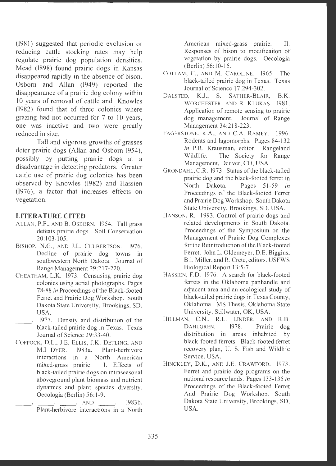(1981) suggested that periodic exclusion or reducing cattle stocking rates may help regulate prairie dog population densities. Mead (1898) found prairie dogs in Kansas disappeared rapidly in the absence of bison. Osborn and Allan (1949) reported the disappearance of a prairie dog colony within IO years of removal of cattle and Knowles  $(1982)$  found that of three colonies where grazing had not occurred for 7 to 10 years, one was inactive and two were greatly reduced in size.

Tall and vigorous growths of grasses deter prairie dogs (Allan and Osborn 1954), possibly by putting prairie dogs at a disadvantage in detecting predators. Greater cattle use of prairie dog colonies has been observed by Knowles (1982) and Hassien (1976), a factor that increases effects on vegetation.

### **LITERATURE CITED**

- ALLAN, P.F. , AND B. OSBORN. 1954. Tall grass defeats prairie dogs. Soil Conservation 20:103-105.
- BISHOP, **N.G.,** AND J.L. CULBERTSON. 1976. Decline of prairie dog towns in southwestern North Dakota. Journal of Range Management 29 :217-220 .
- CHEATHAM, L.K. 1973. Censusing prairie dog colonies using aerial photographs. Pages 78-88 *in* Proceedings of the Black-footed Ferret and Prairie Dog Workshop. South Dakota State University, Brookings, SD, USA.
- 1977. Density and distribution of the black-tailed prairie dog in Texas. Texas Journal of Science 29:33 -40.
- COPPOCK, D.L., J.E. ELLIS, **J.K.** DETLING, AND **M.J** DYER. 1983a. Plant-herbivore interactions in a North American mixed-grass prairie. I. Effects of black-tailed prairie dogs on intraseasonal aboveground plant biomass and nutrient dynamics and plant species diversity. Oecologia (Berlin) 56:1-9.

 $\Box$ , AND  $\Box$  . 1983b. Plant-herbivore interactions in a North American mixed-grass prairie. II. Responses of bison to modificaiton of vegetation by prairie dogs. Oecologia (Berlin) 56:10-15 .

- COTTAM, C., AND M. CAROLINE. 1965. The black-tailed prairie dog in Texas. Texas Journal of Science 17:294-302.
- DALSTED, **K.J., S.** SATHER-BLAIR, **B.K.**  WORCHESTER, AND R. KLUKAS. 1981. Application of remote sensing to prairie dog management. Journal of Range Management 34:218-223.
- FAGERSTONE, K.A., AND C.A. RAMEY. 1996. Rodents and lagomorphs. Pages 84-132 *in* P.R. Krausman, editor. Rangeland Wildlife. The Society for Range Management, Denver, CO, USA.
- GRONDAHL, C.R. 1973. Status of the black-tailed prairie dog and the black-footed ferret in North Dakota . Pages 51-59 *in*  Proceedings of the Black-footed Ferret and Prairie Dog Workshop. South Dakota State University, Brookings, SD. USA.
- HANSON, R. 1993. Control of prairie dogs and related developments in South Dakota. Proceedings of the Symposium on the Management of Prairie Dog Complexes for the Reintroduction of the Black-footed Ferret. John L. Oldemeyer, D.E. Biggins, B.1. Miller, and R. Crete, editors. USFWS Biological Report 13:5-7.
- HASSIEN, F.D. 1976. A search for black-footed ferrets in the Oklahoma panhandle and adjacent area and an ecological study of black-tailed prairie dogs in Texas County, Oklahoma. MS Thesis, Oklahoma State University, Stillwater, OK, USA.
- HILLMAN, C.N., R.L. LINDER, AND R.B. DAHLGREN. 1978. Prairie dog distribution in areas inhabited by black-footed ferrets. Black-footed ferret recovery plan, U. S. Fish and Wildlife Service. USA.
- HINCKLEY, **D.K.,** AND J.E. CRAWFORD. 1973. Ferret and prairie dog programs on the national resource lands. Pages 133-135 *in*  Proceedings of the Black-footed Ferret And Prairie Dog Workshop. South Dakota State University, Brookings, SD, USA.